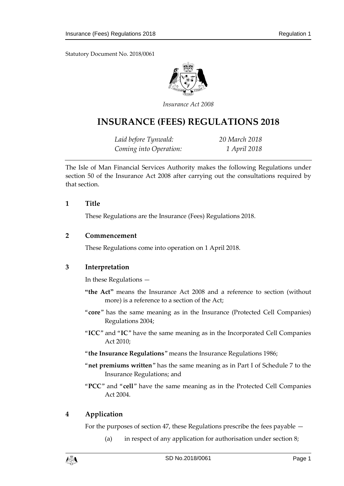Statutory Document No. 2018/0061



*Insurance Act 2008*

# **INSURANCE (FEES) REGULATIONS 2018**

*Laid before Tynwald: 20 March 2018 Coming into Operation: 1 April 2018*

The Isle of Man Financial Services Authority makes the following Regulations under section 50 of the Insurance Act 2008 after carrying out the consultations required by that section.

#### **1 Title**

These Regulations are the Insurance (Fees) Regulations 2018.

#### **2 Commencement**

These Regulations come into operation on 1 April 2018.

## **3 Interpretation**

In these Regulations —

- **"the Act"** means the Insurance Act 2008 and a reference to section (without more) is a reference to a section of the Act;
- "**core**" has the same meaning as in the Insurance (Protected Cell Companies) Regulations 2004;
- "**ICC**" and "**IC**" have the same meaning as in the Incorporated Cell Companies Act 2010;
- "**the Insurance Regulations**" means the Insurance Regulations 1986;
- "**net premiums written**" has the same meaning as in Part I of Schedule 7 to the Insurance Regulations; and
- "**PCC**" and "**cell**" have the same meaning as in the Protected Cell Companies Act 2004.

# **4 Application**

For the purposes of section 47, these Regulations prescribe the fees payable —

(a) in respect of any application for authorisation under section 8;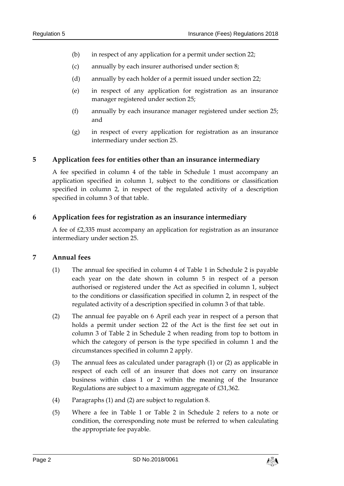- (b) in respect of any application for a permit under section 22;
- (c) annually by each insurer authorised under section 8;
- (d) annually by each holder of a permit issued under section 22;
- (e) in respect of any application for registration as an insurance manager registered under section 25;
- (f) annually by each insurance manager registered under section 25; and
- (g) in respect of every application for registration as an insurance intermediary under section 25.

## **5 Application fees for entities other than an insurance intermediary**

A fee specified in column 4 of the table in Schedule 1 must accompany an application specified in column 1, subject to the conditions or classification specified in column 2, in respect of the regulated activity of a description specified in column 3 of that table.

## **6 Application fees for registration as an insurance intermediary**

A fee of £2,335 must accompany an application for registration as an insurance intermediary under section 25.

#### **7 Annual fees**

- (1) The annual fee specified in column 4 of Table 1 in Schedule 2 is payable each year on the date shown in column 5 in respect of a person authorised or registered under the Act as specified in column 1, subject to the conditions or classification specified in column 2, in respect of the regulated activity of a description specified in column 3 of that table.
- (2) The annual fee payable on 6 April each year in respect of a person that holds a permit under section 22 of the Act is the first fee set out in column 3 of Table 2 in Schedule 2 when reading from top to bottom in which the category of person is the type specified in column 1 and the circumstances specified in column 2 apply.
- (3) The annual fees as calculated under paragraph (1) or (2) as applicable in respect of each cell of an insurer that does not carry on insurance business within class 1 or 2 within the meaning of the Insurance Regulations are subject to a maximum aggregate of £31,362.
- (4) Paragraphs (1) and (2) are subject to regulation 8.
- (5) Where a fee in Table 1 or Table 2 in Schedule 2 refers to a note or condition, the corresponding note must be referred to when calculating the appropriate fee payable.

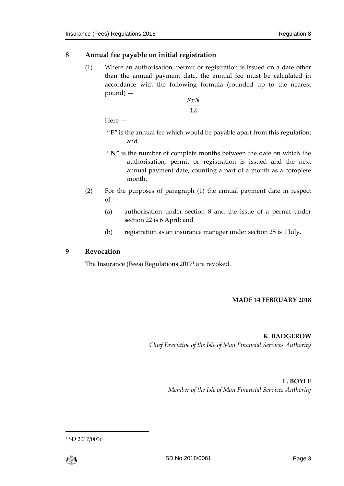## **8 Annual fee payable on initial registration**

(1) Where an authorisation, permit or registration is issued on a date other than the annual payment date, the annual fee must be calculated in accordance with the following formula (rounded up to the nearest pound) —

> $FxN$ 12

Here —

- "**F**" is the annual fee which would be payable apart from this regulation; and
- "**N**" is the number of complete months between the date on which the authorisation, permit or registration is issued and the next annual payment date, counting a part of a month as a complete month.
- (2) For the purposes of paragraph (1) the annual payment date in respect  $of -$ 
	- (a) authorisation under section 8 and the issue of a permit under section 22 is 6 April; and
	- (b) registration as an insurance manager under section 25 is 1 July.

## **9 Revocation**

The Insurance (Fees) Regulations 2017<sup>1</sup> are revoked.

#### **MADE 14 FEBRUARY 2018**

**K. BADGEROW**

*Chief Executive of the Isle of Man Financial Services Authority*

**L. BOYLE** *Member of the Isle of Man Financial Services Authority*

<sup>1</sup> SD 2017/0036



 $\overline{a}$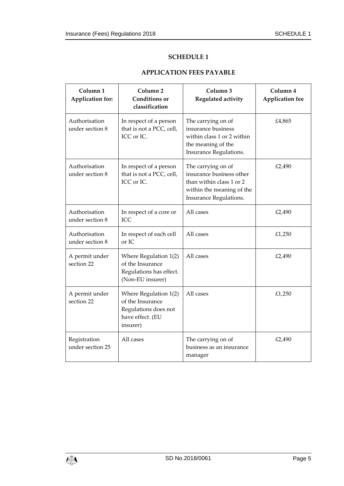#### **SCHEDULE 1**

## **APPLICATION FEES PAYABLE**

| Column <sub>1</sub><br>Application for: | Column <sub>2</sub><br><b>Conditions</b> or<br>classification                                     | Column 3<br>Regulated activity                                                                                                    | Column 4<br><b>Application fee</b> |
|-----------------------------------------|---------------------------------------------------------------------------------------------------|-----------------------------------------------------------------------------------------------------------------------------------|------------------------------------|
| Authorisation<br>under section 8        | In respect of a person<br>that is not a PCC, cell,<br>ICC or IC.                                  | The carrying on of<br>insurance business<br>within class 1 or 2 within<br>the meaning of the<br>Insurance Regulations.            | £4,865                             |
| Authorisation<br>under section 8        | In respect of a person<br>that is not a PCC, cell,<br>ICC or IC.                                  | The carrying on of<br>insurance business other<br>than within class 1 or 2<br>within the meaning of the<br>Insurance Regulations. | £2,490                             |
| Authorisation<br>under section 8        | In respect of a core or<br>ICC                                                                    | All cases                                                                                                                         | £2,490                             |
| Authorisation<br>under section 8        | In respect of each cell<br>or IC                                                                  | All cases                                                                                                                         | £1,250                             |
| A permit under<br>section 22            | Where Regulation 1(2)<br>of the Insurance<br>Regulations has effect.<br>(Non-EU insurer)          | All cases                                                                                                                         | £2,490                             |
| A permit under<br>section 22            | Where Regulation 1(2)<br>of the Insurance<br>Regulations does not<br>have effect. (EU<br>insurer) | All cases                                                                                                                         | £1,250                             |
| Registration<br>under section 25        | All cases                                                                                         | The carrying on of<br>business as an insurance<br>manager                                                                         | £2,490                             |

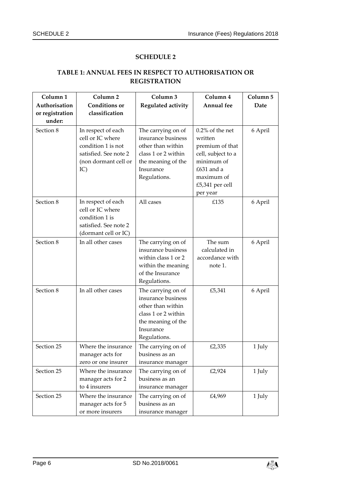# **SCHEDULE 2**

#### **TABLE 1: ANNUAL FEES IN RESPECT TO AUTHORISATION OR REGISTRATION**

| Column <sub>1</sub><br>Authorisation<br>or registration<br>under: | Column <sub>2</sub><br><b>Conditions</b> or<br>classification                                                        | Column 3<br>Regulated activity                                                                                                          | Column 4<br>Annual fee                                                                                                                          | Column 5<br>Date |
|-------------------------------------------------------------------|----------------------------------------------------------------------------------------------------------------------|-----------------------------------------------------------------------------------------------------------------------------------------|-------------------------------------------------------------------------------------------------------------------------------------------------|------------------|
| Section 8                                                         | In respect of each<br>cell or IC where<br>condition 1 is not<br>satisfied. See note 2<br>(non dormant cell or<br>IC) | The carrying on of<br>insurance business<br>other than within<br>class 1 or 2 within<br>the meaning of the<br>Insurance<br>Regulations. | $0.2\%$ of the net<br>written<br>premium of that<br>cell, subject to a<br>minimum of<br>£631 and a<br>maximum of<br>£5,341 per cell<br>per year | 6 April          |
| Section 8                                                         | In respect of each<br>cell or IC where<br>condition 1 is<br>satisfied. See note 2<br>(dormant cell or IC)            | All cases                                                                                                                               | £135                                                                                                                                            | 6 April          |
| Section 8                                                         | In all other cases                                                                                                   | The carrying on of<br>insurance business<br>within class 1 or 2<br>within the meaning<br>of the Insurance<br>Regulations.               | The sum<br>calculated in<br>accordance with<br>note 1.                                                                                          | 6 April          |
| Section 8                                                         | In all other cases                                                                                                   | The carrying on of<br>insurance business<br>other than within<br>class 1 or 2 within<br>the meaning of the<br>Insurance<br>Regulations. | £5,341                                                                                                                                          | 6 April          |
| Section 25                                                        | Where the insurance<br>manager acts for<br>zero or one insurer                                                       | The carrying on of<br>business as an<br>insurance manager                                                                               | £2,335                                                                                                                                          | 1 July           |
| Section 25                                                        | Where the insurance<br>manager acts for 2<br>to 4 insurers                                                           | The carrying on of<br>business as an<br>insurance manager                                                                               | £2,924                                                                                                                                          | 1 July           |
| Section 25                                                        | Where the insurance<br>manager acts for 5<br>or more insurers                                                        | The carrying on of<br>business as an<br>insurance manager                                                                               | £4,969                                                                                                                                          | 1 July           |

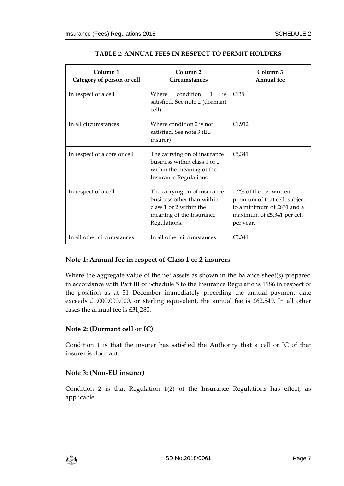| Column <sub>1</sub><br>Category of person or cell | Column <sub>2</sub><br>Circumstances                                                                                              | Column <sub>3</sub><br><b>Annual</b> fee                                                                                             |
|---------------------------------------------------|-----------------------------------------------------------------------------------------------------------------------------------|--------------------------------------------------------------------------------------------------------------------------------------|
| In respect of a cell                              | Where<br>condition<br>$-$ is<br>$\mathbf{1}$<br>satisfied. See note 2 (dormant<br>cell)                                           | £135                                                                                                                                 |
| In all circumstances                              | Where condition 2 is not<br>satisfied. See note 3 (EU<br>insurer)                                                                 | £1,912                                                                                                                               |
| In respect of a core or cell                      | The carrying on of insurance<br>business within class 1 or 2<br>within the meaning of the<br>Insurance Regulations.               | £5,341                                                                                                                               |
| In respect of a cell                              | The carrying on of insurance<br>business other than within<br>class 1 or 2 within the<br>meaning of the Insurance<br>Regulations. | $0.2\%$ of the net written<br>premium of that cell, subject<br>to a minimum of £631 and a<br>maximum of £5,341 per cell<br>per year. |
| In all other circumstances                        | In all other circumstances                                                                                                        | £5,341                                                                                                                               |

#### **TABLE 2: ANNUAL FEES IN RESPECT TO PERMIT HOLDERS**

## **Note 1: Annual fee in respect of Class 1 or 2 insurers**

Where the aggregate value of the net assets as shown in the balance sheet(s) prepared in accordance with Part III of Schedule 5 to the Insurance Regulations 1986 in respect of the position as at 31 December immediately preceding the annual payment date exceeds £1,000,000,000, or sterling equivalent, the annual fee is £62,549. In all other cases the annual fee is £31,280.

## **Note 2: (Dormant cell or IC)**

Condition 1 is that the insurer has satisfied the Authority that a cell or IC of that insurer is dormant.

## **Note 3: (Non-EU insurer)**

Condition 2 is that Regulation 1(2) of the Insurance Regulations has effect, as applicable.